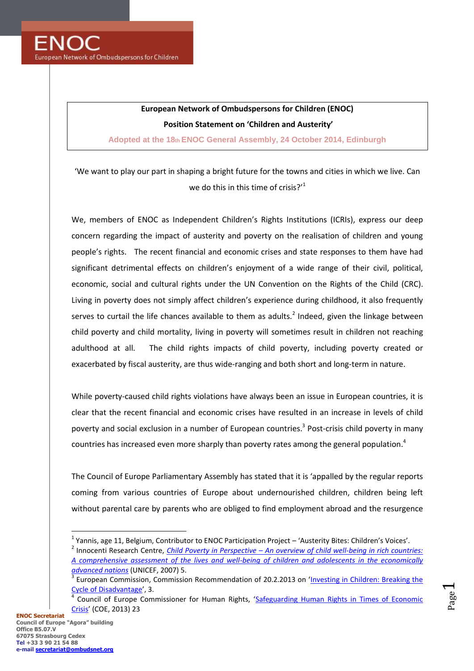## **European Network of Ombudspersons for Children (ENOC)**

**Position Statement on 'Children and Austerity'**

**Adopted at the 18th ENOC General Assembly, 24 October 2014, Edinburgh**

'We want to play our part in shaping a bright future for the towns and cities in which we live. Can we do this in this time of crisis?'<sup>1</sup>

We, members of ENOC as Independent Children's Rights Institutions (ICRIs), express our deep concern regarding the impact of austerity and poverty on the realisation of children and young people's rights. The recent financial and economic crises and state responses to them have had significant detrimental effects on children's enjoyment of a wide range of their civil, political, economic, social and cultural rights under the UN Convention on the Rights of the Child (CRC). Living in poverty does not simply affect children's experience during childhood, it also frequently serves to curtail the life chances available to them as adults.<sup>2</sup> Indeed, given the linkage between child poverty and child mortality, living in poverty will sometimes result in children not reaching adulthood at all. The child rights impacts of child poverty, including poverty created or exacerbated by fiscal austerity, are thus wide-ranging and both short and long-term in nature.

While poverty-caused child rights violations have always been an issue in European countries, it is clear that the recent financial and economic crises have resulted in an increase in levels of child poverty and social exclusion in a number of European countries.<sup>3</sup> Post-crisis child poverty in many countries has increased even more sharply than poverty rates among the general population.<sup>4</sup>

The Council of Europe Parliamentary Assembly has stated that it is 'appalled by the regular reports coming from various countries of Europe about undernourished children, children being left without parental care by parents who are obliged to find employment abroad and the resurgence

Page  $\overline{\phantom{0}}$ 

<sup>&</sup>lt;sup>1</sup> Yannis, age 11, Belgium, Contributor to ENOC Participation Project – 'Austerity Bites: Children's Voices'.

<sup>2</sup> Innocenti Research Centre, *Child Poverty in Perspective – [An overview of child well-being in rich countries:](http://www.unicef-irc.org/publications/pdf/rc7_eng.pdf)  [A comprehensive assessment of the lives and well-being of children and adolescents in the economically](http://www.unicef-irc.org/publications/pdf/rc7_eng.pdf)  [advanced nations](http://www.unicef-irc.org/publications/pdf/rc7_eng.pdf)* (UNICEF, 2007) 5.

<sup>3</sup> European Commission, Commission Recommendation of 20.2.2013 on '[Investing in Children: Breaking the](http://ec.europa.eu/justice/fundamental-rights/files/c_2013_778_en.pdf)  [Cycle of Disadvantage](http://ec.europa.eu/justice/fundamental-rights/files/c_2013_778_en.pdf)', 3.

<sup>4</sup> Council of Europe Commissioner for Human Rights, '[Safeguarding Human Rights in Times of Economic](https://wcd.coe.int/ViewDoc.jsp?id=2130915)  [Crisis](https://wcd.coe.int/ViewDoc.jsp?id=2130915)' (COE, 2013) 23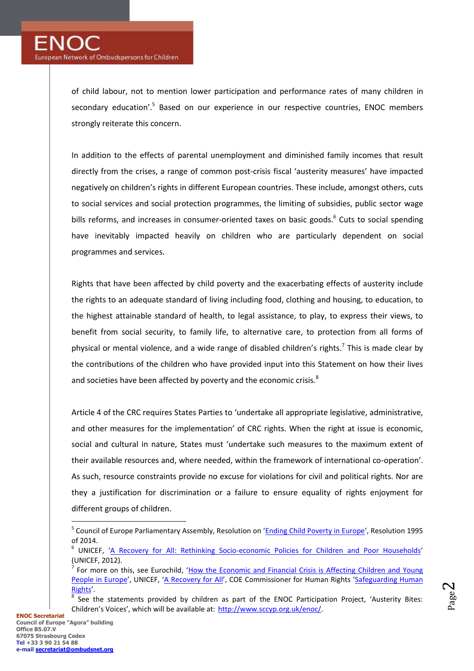of child labour, not to mention lower participation and performance rates of many children in secondary education'.<sup>5</sup> Based on our experience in our respective countries, ENOC members strongly reiterate this concern.

In addition to the effects of parental unemployment and diminished family incomes that result directly from the crises, a range of common post-crisis fiscal 'austerity measures' have impacted negatively on children's rights in different European countries. These include, amongst others, cuts to social services and social protection programmes, the limiting of subsidies, public sector wage bills reforms, and increases in consumer-oriented taxes on basic goods.<sup>6</sup> Cuts to social spending have inevitably impacted heavily on children who are particularly dependent on social programmes and services.

Rights that have been affected by child poverty and the exacerbating effects of austerity include the rights to an adequate standard of living including food, clothing and housing, to education, to the highest attainable standard of health, to legal assistance, to play, to express their views, to benefit from social security, to family life, to alternative care, to protection from all forms of physical or mental violence, and a wide range of disabled children's rights.<sup>7</sup> This is made clear by the contributions of the children who have provided input into this Statement on how their lives and societies have been affected by poverty and the economic crisis.<sup>8</sup>

Article 4 of the CRC requires States Parties to 'undertake all appropriate legislative, administrative, and other measures for the implementation' of CRC rights. When the right at issue is economic, social and cultural in nature, States must 'undertake such measures to the maximum extent of their available resources and, where needed, within the framework of international co-operation'. As such, resource constraints provide no excuse for violations for civil and political rights. Nor are they a justification for discrimination or a failure to ensure equality of rights enjoyment for different groups of children.

<sup>&</sup>lt;sup>5</sup> Council of Europe Parliamentary Assembly, Resolution on '<u>[Ending Child Poverty in Europe](http://assembly.coe.int/ASP/XRef/X2H-DW-XSL.asp?fileid=20894&lang=en)</u>', Resolution 1995 of 2014.

<sup>6</sup> UNICEF, '[A Recovery for All: Rethinking Socio-economic Policies for Children and Poor Households](http://www.unicef.org/socialpolicy/index_62107.html)' (UNICEF, 2012).

<sup>&</sup>lt;sup>7</sup> For more on this, see Eurochild, 'How the Economic and Financial Crisis is Affecting Children and Young [People in Europe](http://old.eurochild.eu/fileadmin/ThematicPriorities/Crisis/Eurochild%20updates/Eurochild%20crisis%20paper%20-%20How%20the%20economic%20and%20financial%20crisis%20is%20affection%20children%20and%20young%20people.pdf)', UNICEF, '[A Recovery for All](http://www.unicef.org/socialpolicy/index_62107.html)', COE Commissioner for Human Rights 'Safeguarding Human [Rights](https://wcd.coe.int/ViewDoc.jsp?id=2130915)'.

<sup>8</sup> See the statements provided by children as part of the ENOC Participation Project, 'Austerity Bites: Children's Voices', which will be available at: [http://www.sccyp.org.uk/enoc/.](http://www.sccyp.org.uk/enoc/)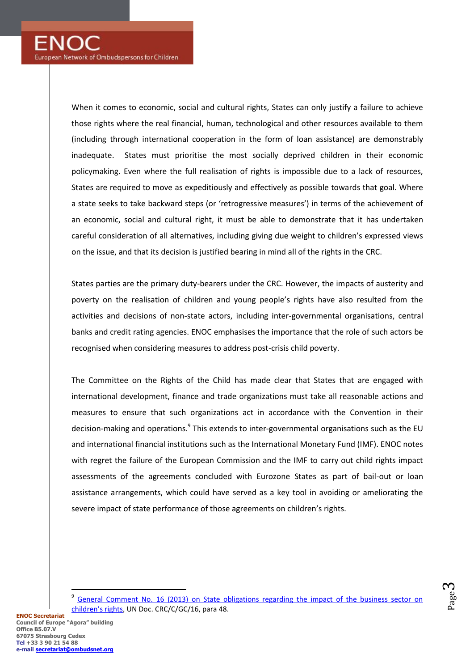When it comes to economic, social and cultural rights, States can only justify a failure to achieve those rights where the real financial, human, technological and other resources available to them (including through international cooperation in the form of loan assistance) are demonstrably inadequate. States must prioritise the most socially deprived children in their economic policymaking. Even where the full realisation of rights is impossible due to a lack of resources, States are required to move as expeditiously and effectively as possible towards that goal. Where a state seeks to take backward steps (or 'retrogressive measures') in terms of the achievement of an economic, social and cultural right, it must be able to demonstrate that it has undertaken careful consideration of all alternatives, including giving due weight to children's expressed views on the issue, and that its decision is justified bearing in mind all of the rights in the CRC.

States parties are the primary duty-bearers under the CRC. However, the impacts of austerity and poverty on the realisation of children and young people's rights have also resulted from the activities and decisions of non-state actors, including inter-governmental organisations, central banks and credit rating agencies. ENOC emphasises the importance that the role of such actors be recognised when considering measures to address post-crisis child poverty.

The Committee on the Rights of the Child has made clear that States that are engaged with international development, finance and trade organizations must take all reasonable actions and measures to ensure that such organizations act in accordance with the Convention in their decision-making and operations.<sup>9</sup> This extends to inter-governmental organisations such as the EU and international financial institutions such as the International Monetary Fund (IMF). ENOC notes with regret the failure of the European Commission and the IMF to carry out child rights impact assessments of the agreements concluded with Eurozone States as part of bail-out or loan assistance arrangements, which could have served as a key tool in avoiding or ameliorating the severe impact of state performance of those agreements on children's rights.

Page  $\infty$ 

<sup>9</sup> General Comment No. 16 (2013) [on State obligations regarding the impact of the business sector on](http://tbinternet.ohchr.org/_layouts/treatybodyexternal/TBSearch.aspx?Lang=en&TreatyID=5&DocTypeID=11)  [children's rights](http://tbinternet.ohchr.org/_layouts/treatybodyexternal/TBSearch.aspx?Lang=en&TreatyID=5&DocTypeID=11), UN Doc. CRC/C/GC/16, para 48.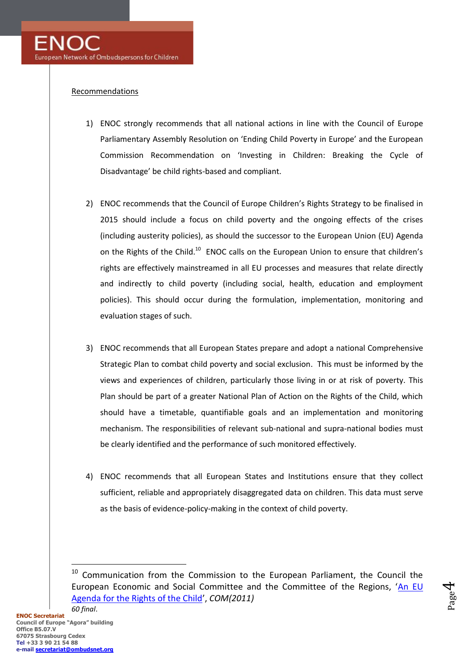## **Recommendations**

- 1) ENOC strongly recommends that all national actions in line with the Council of Europe Parliamentary Assembly Resolution on 'Ending Child Poverty in Europe' and the European Commission Recommendation on 'Investing in Children: Breaking the Cycle of Disadvantage' be child rights-based and compliant.
- 2) ENOC recommends that the Council of Europe Children's Rights Strategy to be finalised in 2015 should include a focus on child poverty and the ongoing effects of the crises (including austerity policies), as should the successor to the European Union (EU) Agenda on the Rights of the Child. $^{10}$  ENOC calls on the European Union to ensure that children's rights are effectively mainstreamed in all EU processes and measures that relate directly and indirectly to child poverty (including social, health, education and employment policies). This should occur during the formulation, implementation, monitoring and evaluation stages of such.
- 3) ENOC recommends that all European States prepare and adopt a national Comprehensive Strategic Plan to combat child poverty and social exclusion. This must be informed by the views and experiences of children, particularly those living in or at risk of poverty. This Plan should be part of a greater National Plan of Action on the Rights of the Child, which should have a timetable, quantifiable goals and an implementation and monitoring mechanism. The responsibilities of relevant sub-national and supra-national bodies must be clearly identified and the performance of such monitored effectively.
- 4) ENOC recommends that all European States and Institutions ensure that they collect sufficient, reliable and appropriately disaggregated data on children. This data must serve as the basis of evidence-policy-making in the context of child poverty.

 $10$  Communication from the Commission to the European Parliament, the Council the European Economic and Social Committee and the Committee of the Regions, 'An EU [Agenda for the Rights of the Child](http://eur-lex.europa.eu/legal-content/en/ALL/;ELX_SESSIONID=2zhxJnnW329LlJf6RnPrql2bbpZdXWZG6vypHgvFp7yjFDQT818y!963755772?uri=CELEX:52011DC0060)', *COM(2011) 60 final*.